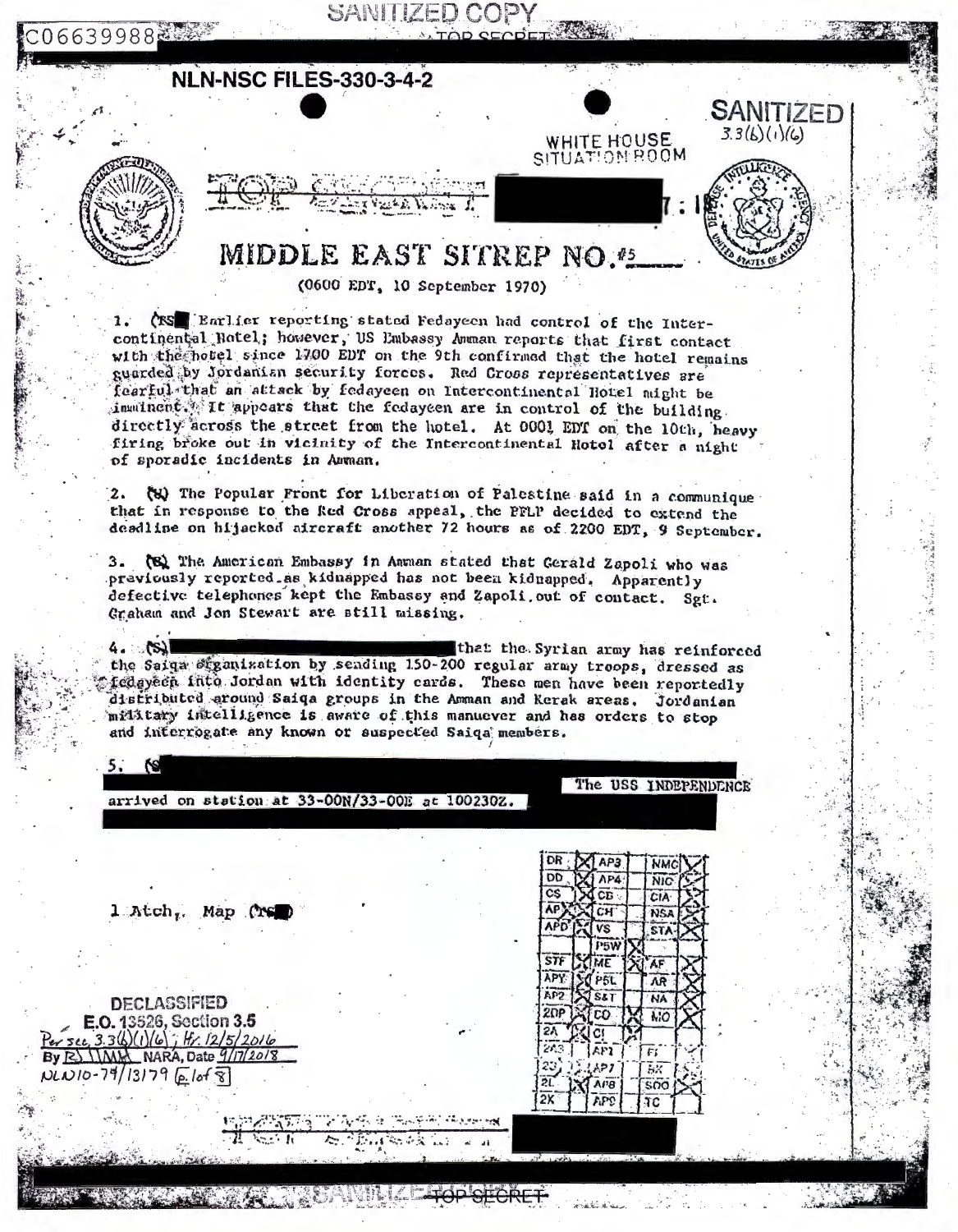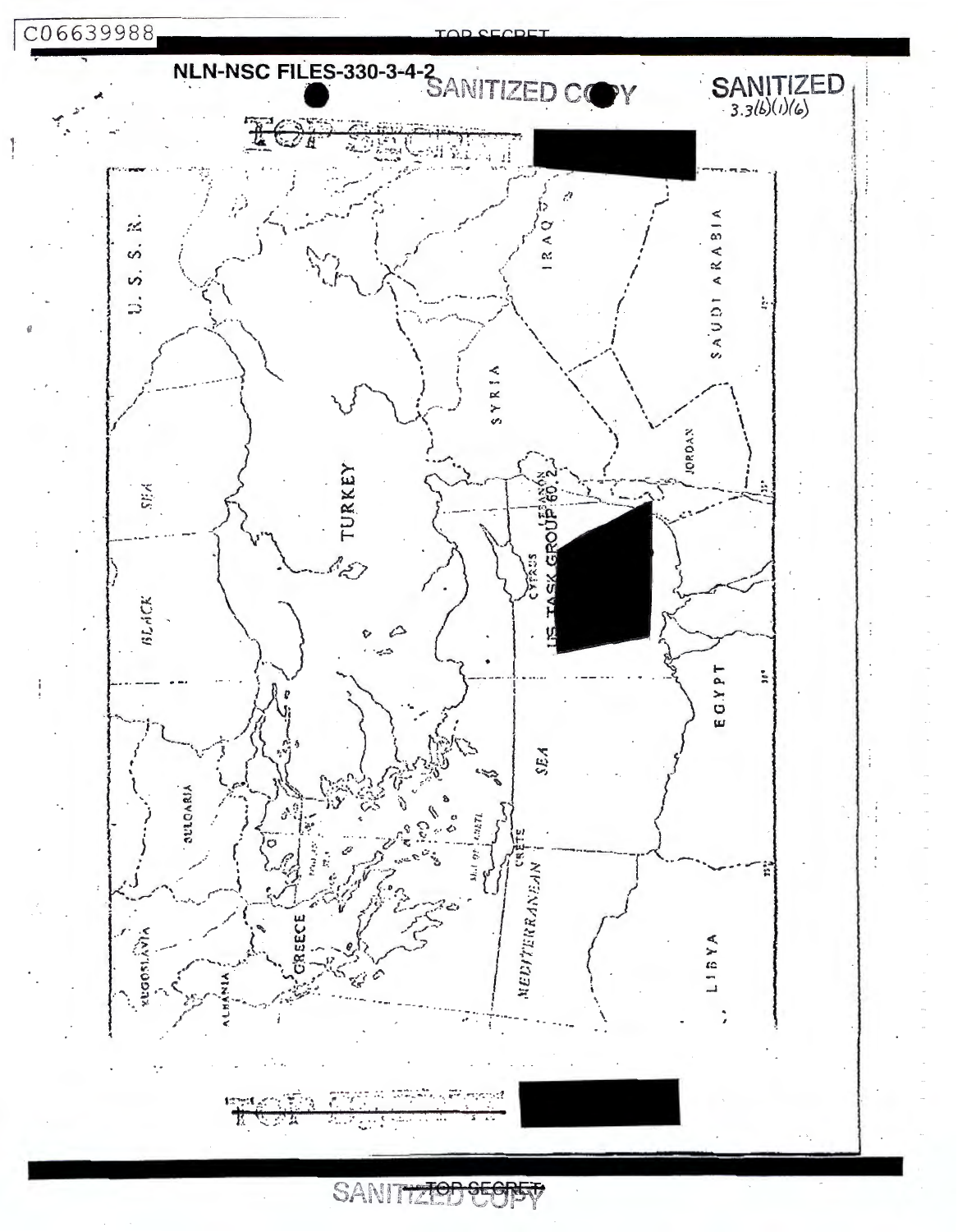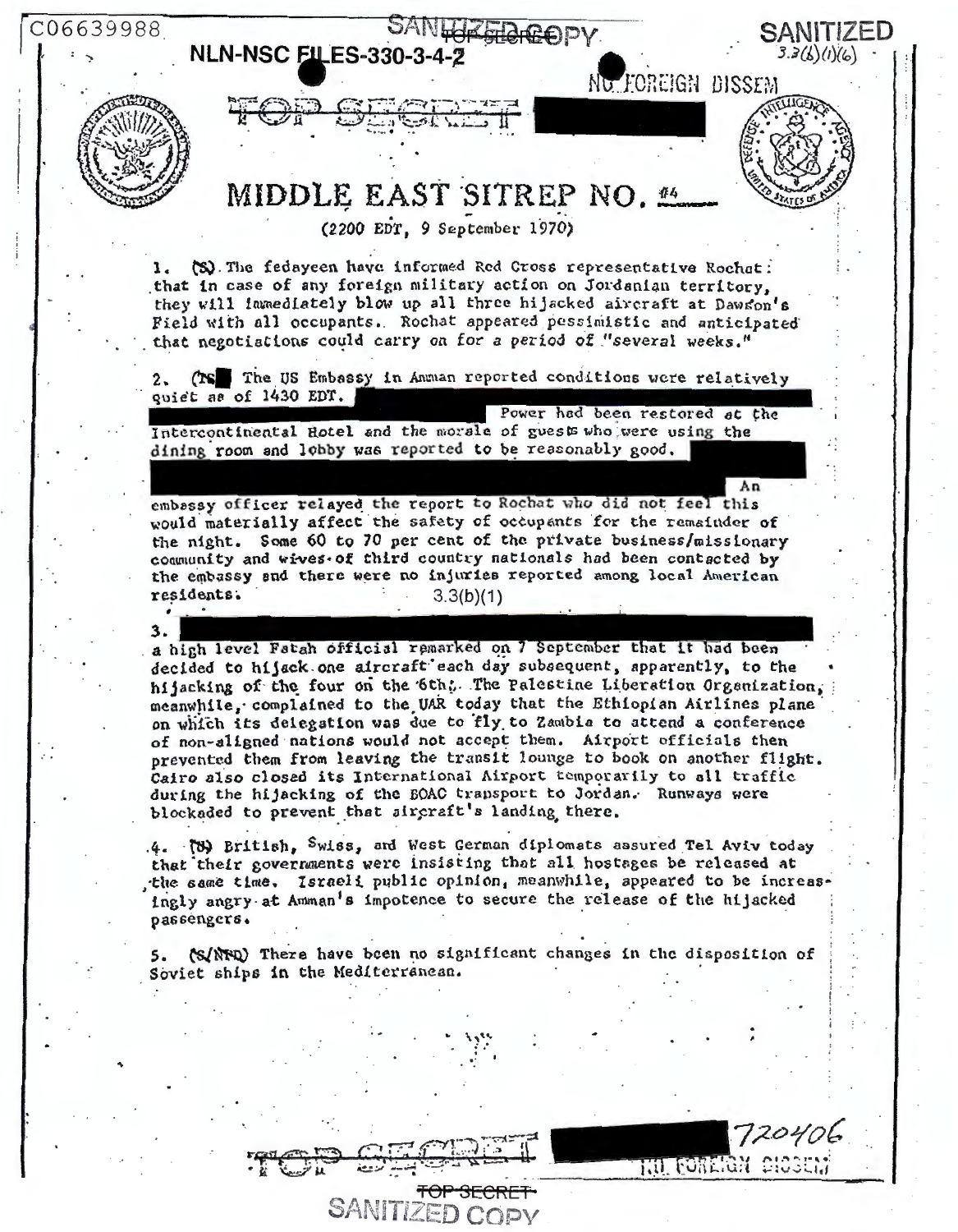06639988

## SANLUZ FLAGOPY **NLN-NSC FILES-330-3-4-2**



 $2.$ 

3.

 $3.3(6)(1)(6)$ NG FOREIGN DISSFM MIDDLE EAST SITREP NO. 44 (2200 EDT. 9 September 1970) 1. (S) The fedayeen have informed Red Cross representative Rochat: that in case of any foreign military action on Jordanian territory, they will immediately blow up all three hijacked aircraft at Dawson's Field with all occupants. Rochat appeared pessimistic and anticipated that negotiations could carry on for a period of "several weeks." (TS The US Embassy in Amman reported conditions were relatively quiet as of 1430 EDT. Power had been restored at the Intercontinental Hotel and the morale of guests who were using the dining room and lobby was reported to be reasonably good.  $An$ embassy officer relayed the report to Rochat who did not feel this would materially affect the safety of occupants for the remainder of the night. Some 60 to 70 per cent of the private business/missionary community and wives of third country nationals had been contacted by the embassy and there were no injuries reported among local American residents.  $3.3(b)(1)$ a high level Fatah official remarked on 7 September that it had been decided to hijack one aircraft each day subsequent, apparently, to the hijacking of the four on the 6th. The Palestine Liberation Organization. meanwhile, complained to the UAR today that the Ethiopian Airlines plane on which its delegation was due to fly to Zambia to attend a conference of non-aligned nations would not accept them. Airport officials then prevented them from leaving the transit lounge to book on another flight. Cairo also closed its International Airport temporarily to all traffic during the hijacking of the BOAC transport to Jordan. Runways were

SANITIZED

72040L

THO FOREFOR SHOSEN

.4. (b) British, Swiss, and West German diplomats assured Tel Aviv today that their governments were insisting that all hostages be released at the same time. Israeli public opinion, meanwhile, appeared to be increasingly angry at Amman's impotence to secure the release of the hijacked passengers.

blockaded to prevent that aircraft's landing there.

(S/NER) There have been no significant changes in the disposition of Soviet ships in the Mediterranean.

**FOP SECRI** 

**SANITIZED COPY**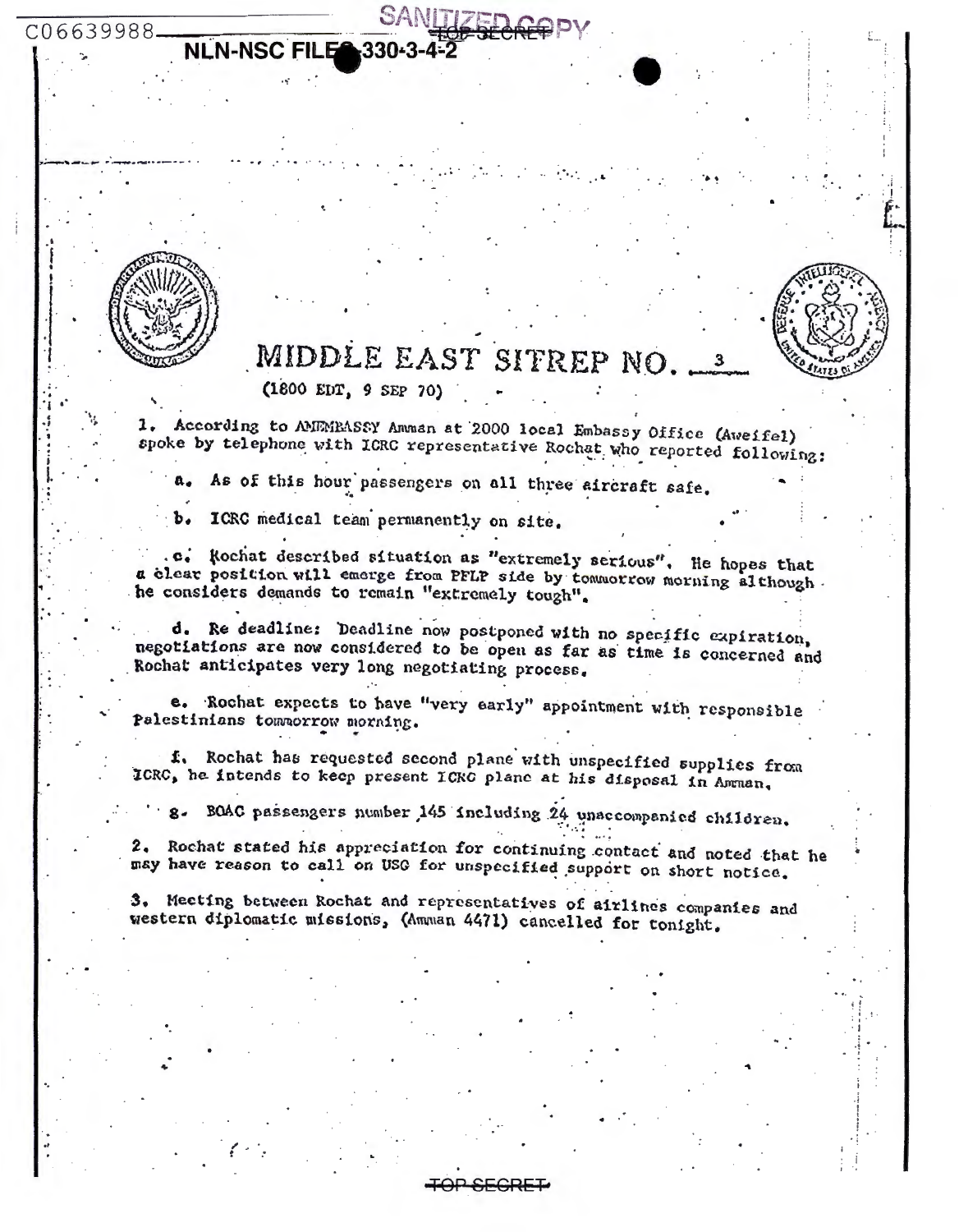

C06639988.

# MIDDLE EAST SITREP NO.

 $(1800 EDT, 9 SEP 70)$ 

**NLN-NSC FILE 330-3-4-2** 

1. According to AMEMBASSY Amman at 2000 local Embassy Office (Aveifel) spoke by telephone with ICRC representative Rochat who reported following:

As of this hour passengers on all three sircraft safe.

ICRC medical team permanently on site.

.c. Rochat described situation as "extremely serious". He hopes that a clear position will emerge from PFLP side by tommorrow morning although. he considers demands to remain "extremely tough".

d. Re deadline: Deadline now postponed with no specific expiration, negotiations are now considered to be open as far as time is concerned and Rochat anticipates very long negotiating process.

e. Rochat expects to have "very early" appointment with responsible Palestinians townorrow morning.

f. Rochat has requested second plane with unspecified supplies from ICRC, he intends to keep present ICRC plane at his disposal in Amman.

8. BOAC passengers number 145 including 24 unaccompanied children.

2. Rochat stated his appreciation for continuing contact and noted that he may have reason to call on USO for unspecified support on short notice.

3. Meeting between Rochat and representatives of airlines companies and western diplomatic missions, (Amman 4471) cancelled for tonight.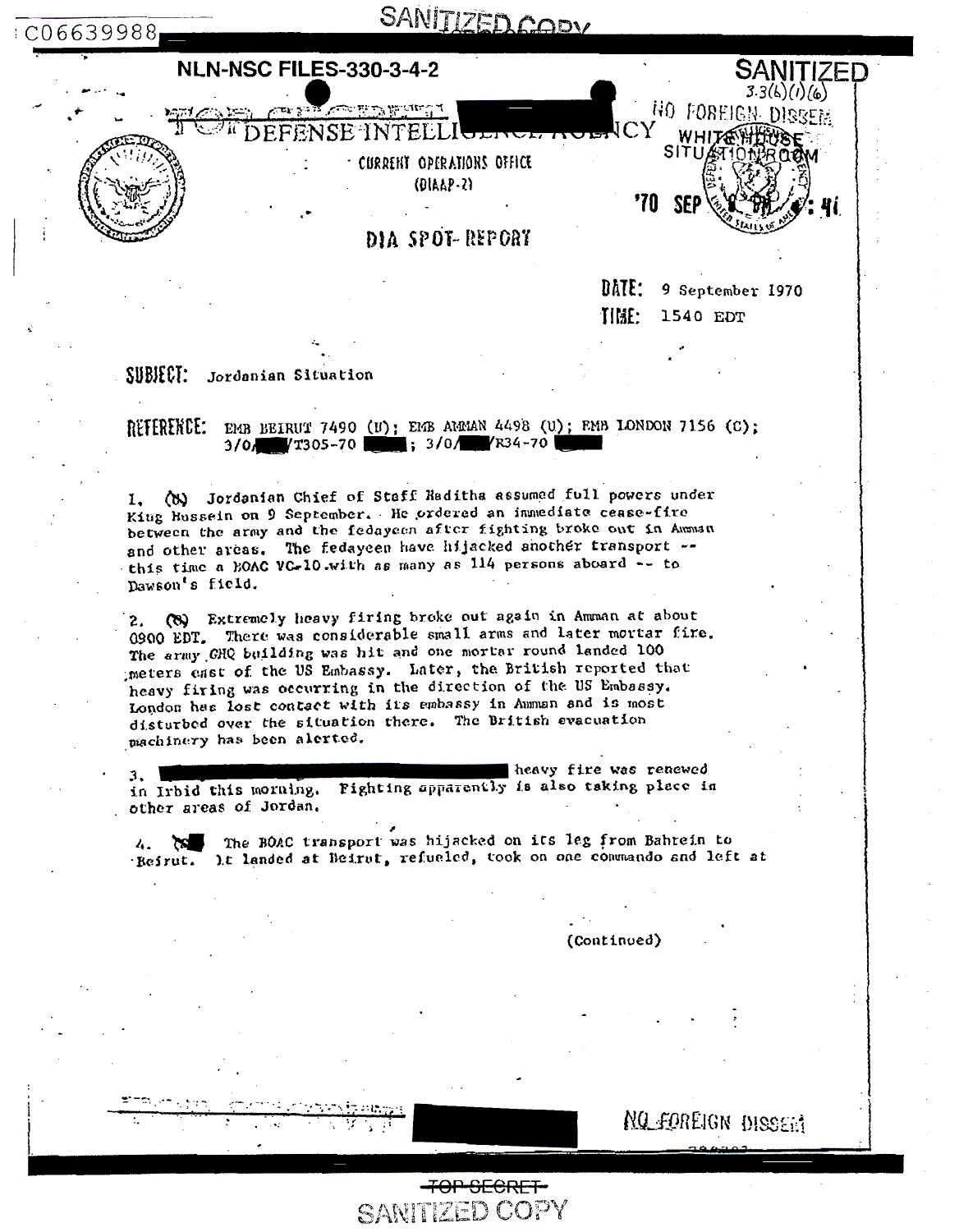

DATE: 9 September 1970 TIMP. 1540 EDT

SUBJECT: Jordanian Situation

# REFERENCE: EMB BEIRUT 7490 (U); EMB AMMAN 4498 (U); EMB LONDON 7156 (C);<br>3/0/ 7305-70 ; 3/0/ 734-70

1. (b) Jordanian Chief of Staff Haditha assumed full powers under King Hussein on 9 September. He ordered an inmediate cease-fire between the army and the fedayeen after fighting broke out in Amman and other areas. The fedayeen have hijacked another transport -this time a BOAC VC-10 with as many as 114 persons aboard -- to Dawson's field.

(8) Extremely heavy firing broke out again in Amman at about  $2.$ 0900 EDT. There was considerable small arms and later mortar fire. The army GHQ building was hit and one mortar round landed 100 meters east of the US Embassy. Later, the British reported that heavy firing was occurring in the direction of the US Embassy. London has lost contact with its embassy in Amman and is most disturbed over the situation there. The British evacuation machinery has been alerted.

heavy fire was renewed 3. in Irbid this morning. Pighting apparently is also taking place in other areas of Jordan.

4. The BOAC transport was hijacked on its leg from Bahrein to Beirut. It landed at Beirut, refueled, took on one commando and left at

(Continued)

**NO FOREIGN DISSERT** 

TOP SECRET

SANITIZED COPY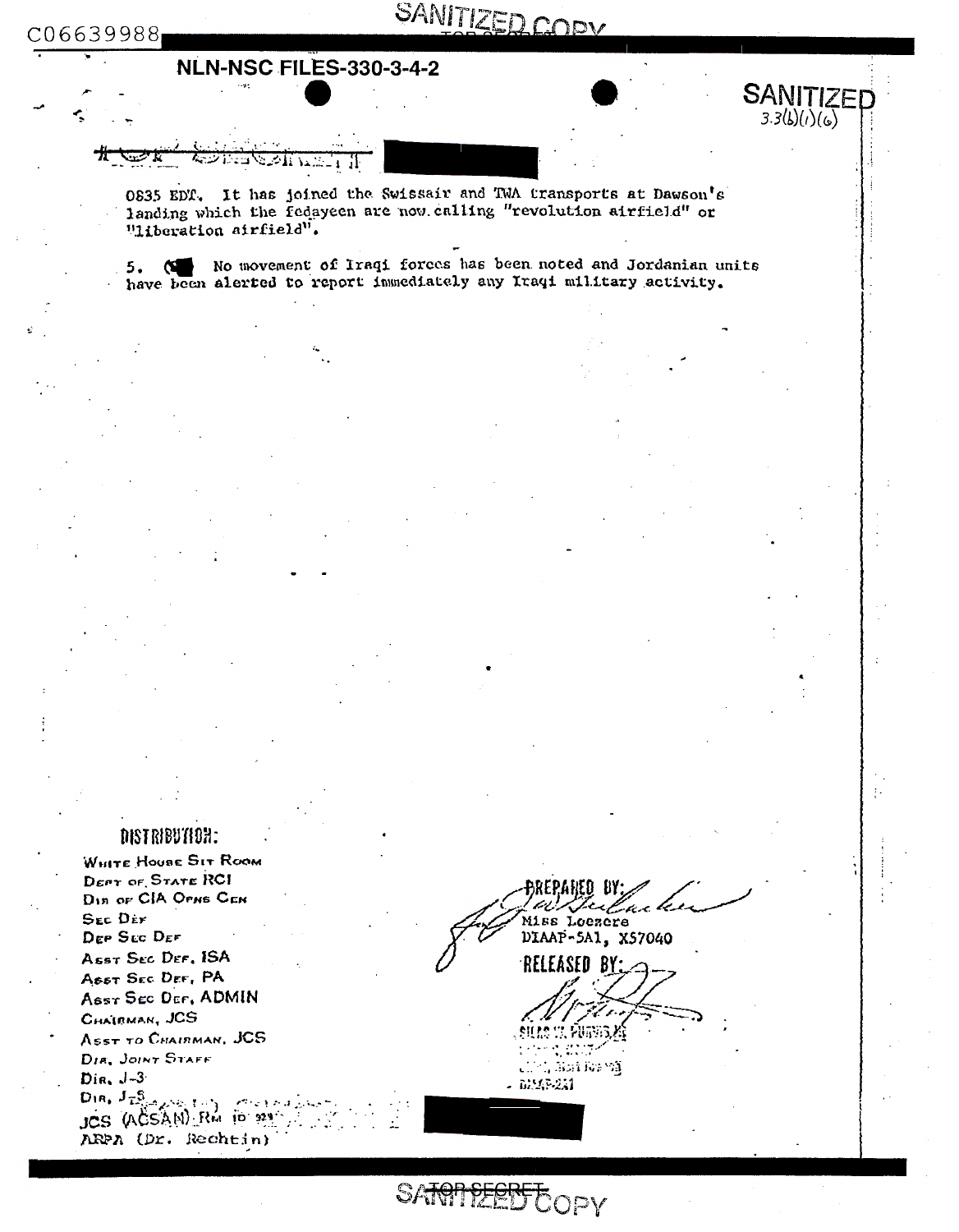C06639988

# SANITIZED COPY

 $SANITIZEF_3.3(b)(c)(c)}$ 

### **NLN-NSC FILES-330-3-4-2**

 $\sim 2.5$ 

0835 EDT. It has joined the Swissair and TWA transports at Dawson's landing which the fedayeen are now calling "revolution airfield" or "Hiberation airfield".

5. (SE No movement of Iraqi forces has been noted and Jordanian units have been alerted to report inmediately any Iraqi military activity.

### DISTRIBUTION:

WHITE HOUSE SIT ROOM DEPT OF STATE RCI DIA OF CIA OPNS CEN SEC DEY DEP SEC DEF Asst Sec Der, ISA ASST SEC DEF, PA Asst Sec Der, ADMIN CHAIRMAN, JCS ASST TO CHAIRMAN, JCS DIE, JOINT STAFF  $Dir, J-3$  $D(n, J_{\overline{L}_{12}^5 \cap \chi^{(1)}(\cdot), L_{12}^5})$ JCS (ACSAN) RM 10 324 ARPA (Dr. Rechtin)

AREN BY Julia k Miss Loezere DIAAP-5A1, X57040

RELEASED BY:

t, Bailio VI  $\mathbf{t}$ . - DEAP-251

SARPIFEERFCOPY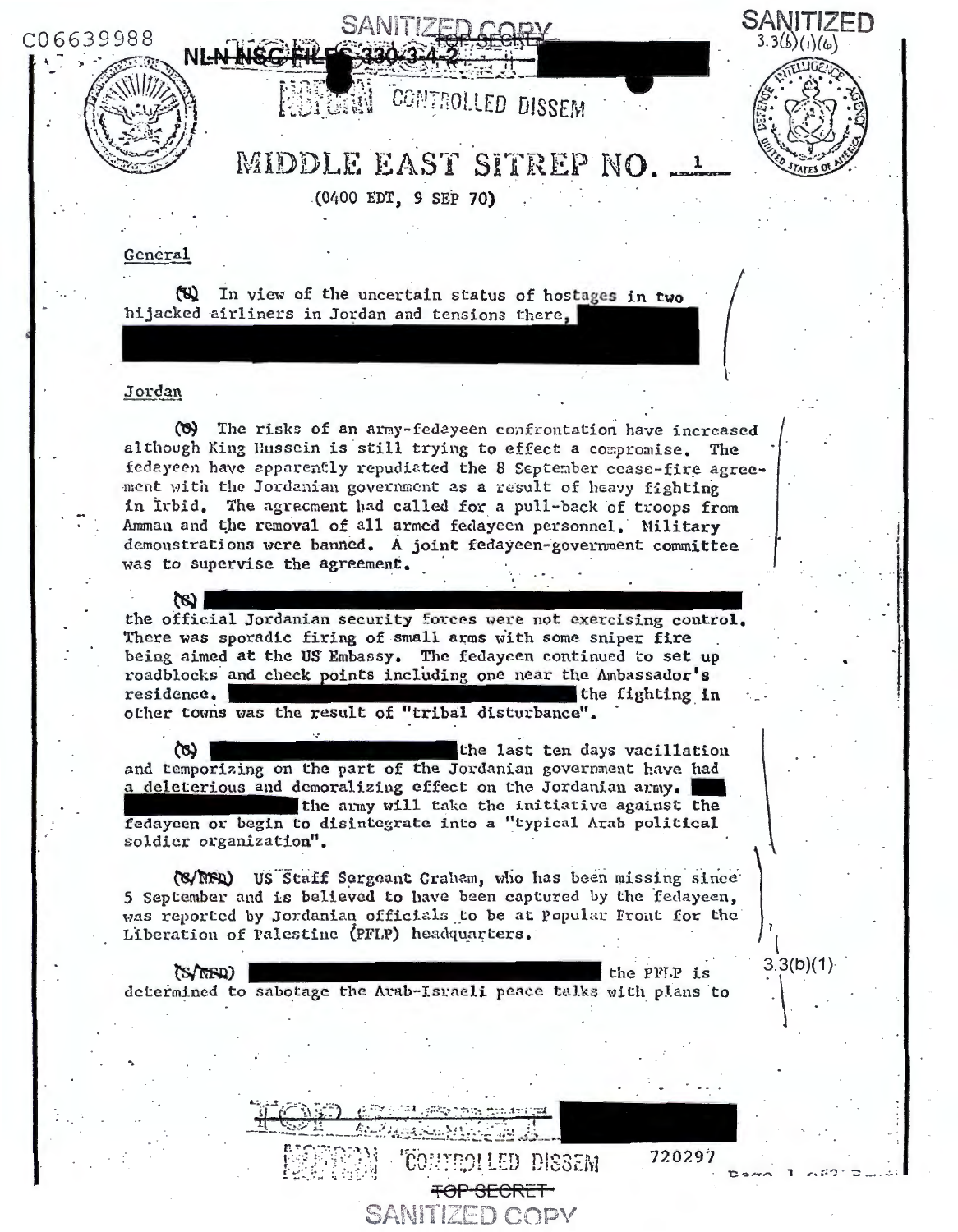C06639988





 $3.3(b)(1)$ 

## MIDDLE EAST SITREP NO.

CONTROLLED DISSEM

 $(0400$  EDT, 9 SEP 70)

#### General

(8) In view of the uncertain status of hostages in two hijacked airliners in Jordan and tensions there.

#### Jordan

 $\infty$ 

(8) The risks of an army-fedeyeen confrontation have increased although King Hussein is still trying to effect a compromise. The fedayeen have apparently repudiated the 8 September cease-fire agreement with the Jordanian government as a result of heavy fighting in Irbid. The agreement had called for a pull-back of troops from Amman and the removal of all armed fedayeen personnel. Military demonstrations were banned. A joint fedayeen-government committee was to supervise the agreement.

the official Jordanian security forces were not exercising control. There was sporadic firing of small arms with some sniper fire being aimed at the US Embassy. The fedayeen continued to set up roadblocks and check points including one near the Ambassador's residence. the fighting in other towns was the result of "tribal disturbance".

the last ten days vacillation and temporizing on the part of the Jordanian government have had a deleterious and demoralizing effect on the Jordanian army. the army will take the initiative against the fedaycen or begin to disintegrate into a "typical Arab political soldier organization".

(S/NFD) US Staff Sergeant Graham, who has been missing since 5 September and is believed to have been captured by the fedayeen, was reported by Jordanian officials to be at Popular Front for the Liberation of Palestine (PFLP) headquarters.

 $(S/NFD)$ the PFLP is determined to sabotage the Arab-Israeli peace talks with plans to

> 720297 **BOLLED DISSEM** <del>TOP SECRET</del> SANITIZED COPY